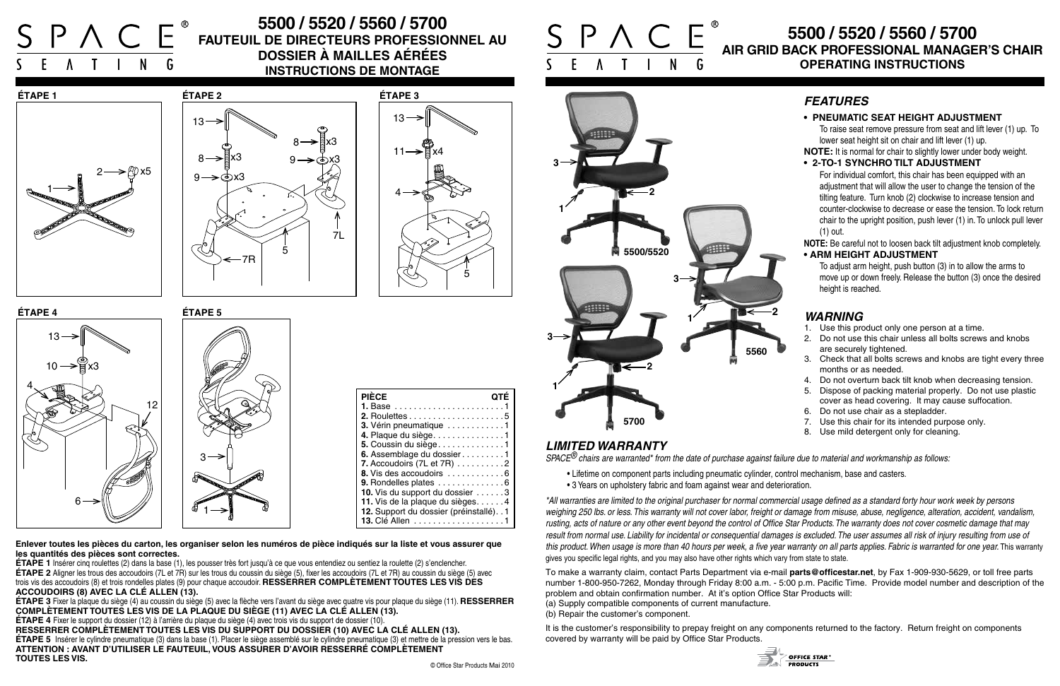6

x3











13

4

 $10 \rightarrow$ 

# **5500 / 5520 / 5560 / 5700 AIR GRID BACK PROFESSIONAL MANAGER'S CHAIR OPERATING INSTRUCTIONS**



# **5500 / 5520 / 5560 / 5700 Fauteuil de directeurs professionnel au dossier à mailles aérées INSTRUCTIONS DE MONTAGE**



**Enlever toutes les pièces du carton, les organiser selon les numéros de pièce indiqués sur la liste et vous assurer que les quantités des pièces sont correctes.**

**ÉTAPE 1** Insérer cinq roulettes (2) dans la base (1), les pousser très fort jusqu'à ce que vous entendiez ou sentiez la roulette (2) s'enclencher. **ÉTAPE 2** Aligner les trous des accoudoirs (7L et 7R) sur les trous du coussin du siège (5), fixer les accoudoirs (7L et 7R) au coussin du siège (5) avec trois vis des accoudoirs (8) et trois rondelles plates (9) pour chaque accoudoir. **RESSERRER COMPLÈTEMENT TOUTES LES VIS DES ACCOUDOIRS (8) AVEC LA CLÉ ALLEN (13).**

**ÉTAPE 3** Fixer la plaque du siège (4) au coussin du siège (5) avec la flèche vers l'avant du siège avec quatre vis pour plaque du siège (11). **RESSERRER COMPLÈTEMENT TOUTES LES VIS DE LA PLAQUE DU SIÈGE (11) AVEC LA CLÉ ALLEN (13).**

**ÉTAPE 4** Fixer le support du dossier (12) à l'arrière du plaque du siège (4) avec trois vis du support de dossier (10).

**RESSERRER COMPLÈTEMENT TOUTES LES VIS DU SUPPORT DU DOSSIER (10) AVEC LA CLÉ ALLEN (13). ÉTAPE 5** Insérer le cylindre pneumatique (3) dans la base (1). Placer le siège assemblé sur le cylindre pneumatique (3) et mettre de la pression vers le bas. **ATTENTION : AVANT D'UTILISER LE FAUTEUIL, VOUS ASSURER D'AVOIR RESSERRÉ COMPLÈTEMENT TOUTES LES VIS.**

| <b>PIÈCE</b>                              |  |
|-------------------------------------------|--|
|                                           |  |
|                                           |  |
| 3. Vérin pneumatique 1                    |  |
| 4. Plaque du siège. 1                     |  |
| 5. Coussin du siège1                      |  |
| 6. Assemblage du dossier1                 |  |
| 7. Accoudoirs (7L et 7R) 2                |  |
| 8. Vis des accoudoirs 6                   |  |
| 9. Rondelles plates 6                     |  |
| 10. Vis du support du dossier 3           |  |
| 11. Vis de la plaque du sièges4           |  |
| 12. Support du dossier (préinstallé). . 1 |  |
| <b>13. Clé Allen</b>                      |  |

## *WARNING*

- 1. Use this product only one person at a time.
- 2. Do not use this chair unless all bolts screws and knobs are securely tightened.
- 3. Check that all bolts screws and knobs are tight every three months or as needed.
- 4. Do not overturn back tilt knob when decreasing tension.
- 5. Dispose of packing material properly. Do not use plastic cover as head covering. It may cause suffocation.
- 6. Do not use chair as a stepladder.
- 7. Use this chair for its intended purpose only.
- 8. Use mild detergent only for cleaning.



To adjust arm height, push button (3) in to allow the arms to move up or down freely. Release the button (3) once the desired height is reached.

## *LIMITED WARRANTY*

*SPACE® chairs are warranted\* from the date of purchase against failure due to material and workmanship as follows:*

- Lifetime on component parts including pneumatic cylinder, control mechanism, base and casters.
- 3 Years on upholstery fabric and foam against wear and deterioration.

*\*All warranties are limited to the original purchaser for normal commercial usage defined as a standard forty hour work week by persons weighing 250 lbs. or less. This warranty will not cover labor, freight or damage from misuse, abuse, negligence, alteration, accident, vandalism, rusting, acts of nature or any other event beyond the control of Office Star Products. The warranty does not cover cosmetic damage that may result from normal use. Liability for incidental or consequential damages is excluded. The user assumes all risk of injury resulting from use of this product. When usage is more than 40 hours per week, a five year warranty on all parts applies. Fabric is warranted for one year. This warranty* gives you specific legal rights, and you may also have other rights which vary from state to state.

To make a warranty claim, contact Parts Department via e-mail **parts@officestar.net**, by Fax 1-909-930-5629, or toll free parts number 1-800-950-7262, Monday through Friday 8:00 a.m. - 5:00 p.m. Pacific Time. Provide model number and description of the problem and obtain confirmation number. At it's option Office Star Products will: (a) Supply compatible components of current manufacture. (b) Repair the customer's component.

It is the customer's responsibility to prepay freight on any components returned to the factory. Return freight on components covered by warranty will be paid by Office Star Products.



## *FEATURES*

### **• PNEUMATIC SEAT HEIGHT ADJUSTMENT**

To raise seat remove pressure from seat and lift lever (1) up. To lower seat height sit on chair and lift lever (1) up.

**NOTE:** It is normal for chair to slightly lower under body weight.

#### **• 2-TO-1 SYNCHRO TILT ADJUSTMENT**

For individual comfort, this chair has been equipped with an adjustment that will allow the user to change the tension of the tilting feature. Turn knob (2) clockwise to increase tension and counter-clockwise to decrease or ease the tension. To lock return chair to the upright position, push lever (1) in. To unlock pull lever (1) out.

**NOTE:** Be careful not to loosen back tilt adjustment knob completely. **• ARM HEIGHT ADJUSTMENT**